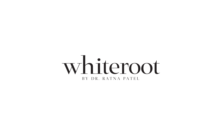# whiteroot BY DR. RATNA PATEL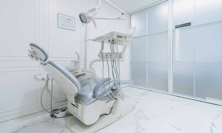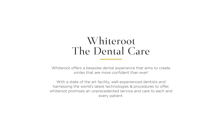### Whiteroot The Dental Care

Whiteroot offers a bespoke dental experience that aims to create smiles that are more confident than ever!

With a state of the art facility, well-experienced dentists and harnessing the world's latest technologies & procedures to offer, whiteroot promises an unprecedented service and care to each and every patient.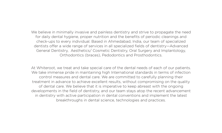We believe in minimally invasive and painless dentistry and strive to propagate the need for daily dental hygiene, proper nutrition and the benefits of periodic cleanings and check-ups to every individual. Based in Ahmedabad, India, our team of specialized dentists offer a wide range of services in all specialized fields of dentistry—Advanced General Dentistry, Aesthetics/ Cosmetic Dentistry, Oral Surgery and Implantology, Orthodontics (braces), Pedodontics and Prosthodontics.

At Whiteroot, we treat and take special care of the dental needs of each of our patients. We take immense pride in maintaining high International standards in terms of infection control measures and dental care. We are committed to carefully planning their treatment in advance to achieve excellent results, without compromising on the quality of dental care. We believe that it is imperative to keep abreast with the ongoing developments in the field of dentistry, and our team stays atop the recent advancement in dentistry with active participation in dental conventions and implement the latest breakthroughs in dental science, technologies and practices.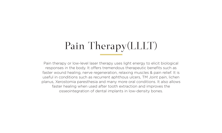# Pain Therapy(LLLT)

Pain therapy or low-level laser therapy uses light energy to elicit biological responses in the body. It offers tremendous therapeutic benefits such as faster wound healing, nerve regeneration, relaxing muscles & pain relief. It is useful in conditions such as recurrent aphthous ulcers, TM Joint pain, lichen planus, Xerostomia paresthesia and many more oral conditions. It also allows faster healing when used after tooth extraction and improves the osseointegration of dental implants in low-density bones.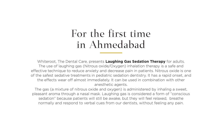### For the first time in Ahmedabad

Whiteroot, The Dental Care, presents **Laughing Gas Sedation Therapy** for adults. The use of laughing gas (Nitrous oxide/Oxygen) inhalation therapy is a safe and effective technique to reduce anxiety and decrease pain in patients. Nitrous oxide is one of the safest sedative treatments in pediatric sedation dentistry. It has a rapid onset, and the effects wear off almost immediately. It can be used in combination with other anesthetic agents.

The gas (a mixture of nitrous oxide and oxygen) is administered by inhaling a sweet, pleasant aroma through a nasal mask. Laughing gas is considered a form of "conscious sedation" because patients will still be awake, but they will feel relaxed, breathe normally and respond to verbal cues from our dentists, without feeling any pain.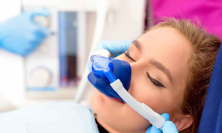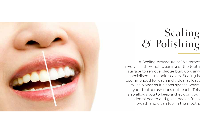

# Scaling<br>
& Polishing

A Scaling procedure at Whiteroot involves a thorough cleaning of the tooth surface to remove plaque buildup using specialised ultrasonic scalers. Scaling is recommended for each individual at least twice a year as it cleans spaces where your toothbrush does not reach. This also allows you to keep a check on your dental health and gives back a fresh breath and clean feel in the mouth.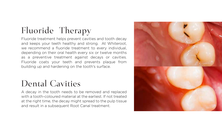## Fluoride Therapy

Fluoride treatment helps prevent cavities and tooth decay and keeps your teeth healthy and strong. At Whiteroot, we recommend a fluoride treatment to every individual, depending on their oral health every six or twelve months as a preventive treatment against decays or cavities. Fluoride coats your teeth and prevents plaque from building up and hardening on the tooth's surface.

### Dental Cavities

A decay in the tooth needs to be removed and replaced with a tooth-coloured material at the earliest. If not treated at the right time, the decay might spread to the pulp tissue and result in a subsequent Root Canal treatment.

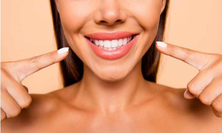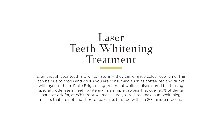### Laser Teeth Whitening Treatment

Even though your teeth are white naturally, they can change colour over time. This can be due to foods and drinks you are consuming such as coffee, tea and drinks with dyes in them. Smile Brightening treatment whitens discoloured teeth using special diode lasers. Teeth whitening is a simple process that over 90% of dental patients ask for, at Whiteroot we make sure you will see maximum whitening results that are nothing short of dazzling, that too within a 20-minute process.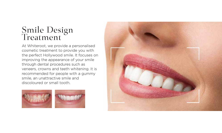### Smile Design Treatment

At Whiteroot, we provide a personalised cosmetic treatment to provide you with the perfect Hollywood smile. It focuses on improving the appearance of your smile through dental procedures such as veneers, crowns and teeth whitening. It is recommended for people with a gummy smile, an unattractive smile and discoloured or small tooth.



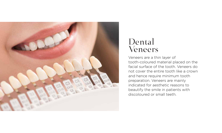

#### Dental Veneers

Veneers are a thin layer of tooth-coloured material placed on the facial surface of the tooth. Veneers do not cover the entire tooth like a crown and hence require minimum tooth preparation. Veneers are mainly indicated for aesthetic reasons to beautify the smile in patients with discoloured or small teeth.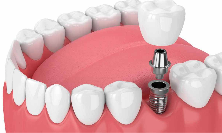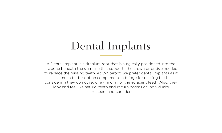# Dental Implants

A Dental Implant is a titanium root that is surgically positioned into the jawbone beneath the gum line that supports the crown or bridge needed to replace the missing teeth. At Whiteroot, we prefer dental implants as it is a much better option compared to a bridge for missing teeth considering they do not require grinding of the adjacent teeth. Also, they look and feel like natural teeth and in turn boosts an individual's self-esteem and confidence.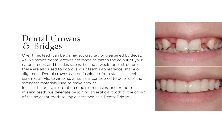### Dental Crowns & Bridges

Over time, teeth can be damaged, cracked or weakened by decay. At Whiteroot, dental crowns are made to match the colour of your natural teeth, and besides strengthening a week tooth structure, these are also used to improve your teeth's appearance, shape or alignment. Dental crowns can be fashioned from stainless steel, ceramic, acrylic to zirconia. Zirconia is considered to be one of the strongest materials used to make crowns. In case the dental restoration requires replacing one or more missing teeth, we delegate by joining an artificial tooth to the crown of the adjacent tooth or implant termed as a Dental Bridge.

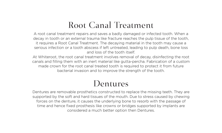### Root Canal Treatment

A root canal treatment repairs and saves a badly damaged or infected tooth. When a decay in tooth or an external trauma like fracture reaches the pulp tissue of the tooth, it requires a Root Canal Treatment. The decaying material in the tooth may cause a serious infection or a tooth abscess if left untreated, leading to pulp death, bone loss and loss of the tooth itself.

At Whiteroot, the root canal treatment involves removal of decay, disinfecting the root canals and filling them with an inert material like gutta-percha. Fabrication of a custom made crown for the root canal treated tooth is required to protect it from future bacterial invasion and to improve the strength of the tooth.

### Dentures

Dentures are removable prosthetics constructed to replace the missing teeth. They are supported by the soft and hard tissues of the mouth. Due to stress caused by chewing forces on the denture, it causes the underlying bone to resorb with the passage of time and hence fixed prosthesis like crowns or bridges supported by implants are considered a much better option then Dentures.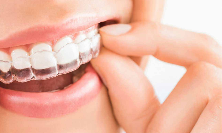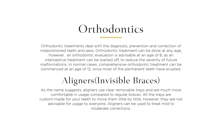# **Orthodontics**

Orthodontic treatments deal with the diagnosis, prevention and correction of malpositioned teeth and jaws. Orthodontic treatment can be done at any age, however, an orthodontic evaluation is advisable at an age of 8, as an interceptive treatment can be started off, to reduce the severity of future malformations. In normal cases, comprehensive orthodontic treatment can be commenced at an age of 12, once most of the permanent teeth have erupted.

### Aligners(Invisible Braces)

As the name suggests, aligners use clear removable trays and are much more comfortable in usage compared to regular braces. All the trays are custom-made for your teeth to move them little by little. However, they are not advisable for usage to everyone. Aligners can be used to treat mild to moderate corrections.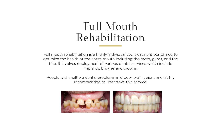# Full Mouth Rehabilitation

Full mouth rehabilitation is a highly individualized treatment performed to optimize the health of the entire mouth including the teeth, gums, and the bite. It involves deployment of various dental services which include implants, bridges and crowns.

People with multiple dental problems and poor oral hygiene are highly recommended to undertake this service.

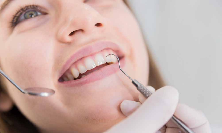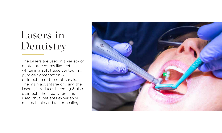# Lasers in Dentistry

The Lasers are used in a variety of dental procedures like teeth whitening, soft tissue contouring, gum depigmentation & disinfection of the root canals. The main advantage of using the laser is, it reduces bleeding & also disinfects the area where it is used; thus, patients experience minimal pain and faster healing.

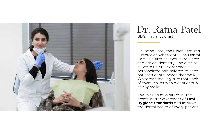

#### Dr. Ratna Patel BDS, Implantologist

Dr. Ratna Patel, the Chief Dentist & Director at Whiteroot - The Dental Care, is a firm believer in pain-free and ethical dentistry. She aims to curate a unique experience, personalized and tailored to each patient's dental needs that walk in Whiteroot, making sure that each of them leaves with a confident & happy smile.

The mission at Whiteroot is to create better awareness of **Oral Hygiene Standards** and improve the dental health of every patient.